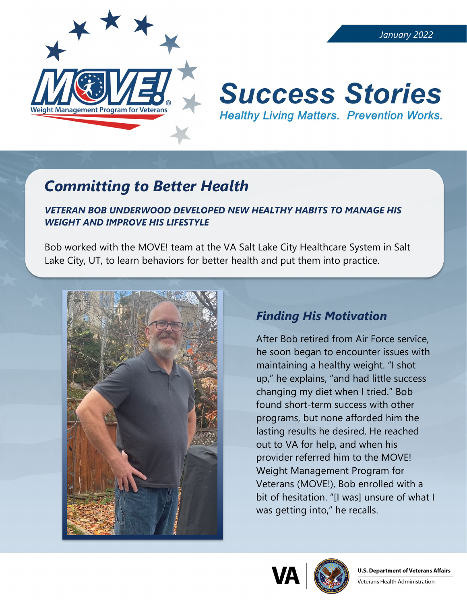

#### *January 2022*

# **Success Stories Healthy Living Matters. Prevention Works.**

## *Committing to Better Health*

#### *VETERAN BOB UNDERWOOD DEVELOPED NEW HEALTHY HABITS TO MANAGE HIS WEIGHT AND IMPROVE HIS LIFESTYLE*

Bob worked with the MOVE! team at the VA Salt Lake City Healthcare System in Salt Lake City, UT, to learn behaviors for better health and put them into practice.



### *Finding His Motivation*

After Bob retired from Air Force service, he soon began to encounter issues with maintaining a healthy weight. "I shot up," he explains, "and had little success changing my diet when I tried." Bob found short-term success with other programs, but none afforded him the lasting results he desired. He reached out to VA for help, and when his provider referred him to the MOVE! Weight Management Program for Veterans (MOVE!), Bob enrolled with a bit of hesitation. "[I was] unsure of what I was getting into," he recalls.





Veterans Health Administration